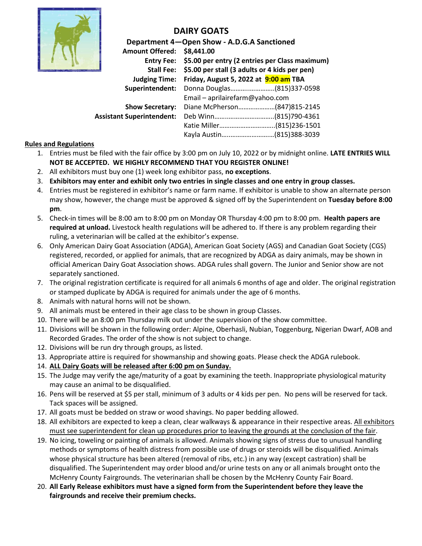

# **DAIRY GOATS**

| Department 4-Open Show - A.D.G.A Sanctioned |                                                                         |  |  |  |  |  |
|---------------------------------------------|-------------------------------------------------------------------------|--|--|--|--|--|
| <b>Amount Offered:</b>                      | \$8,441.00<br>Entry Fee: \$5.00 per entry (2 entries per Class maximum) |  |  |  |  |  |
|                                             |                                                                         |  |  |  |  |  |
| <b>Stall Fee:</b>                           | \$5.00 per stall (3 adults or 4 kids per pen)                           |  |  |  |  |  |
| <b>Judging Time:</b>                        | Friday, August 5, 2022 at 9:00 am TBA                                   |  |  |  |  |  |
| Superintendent:                             | Donna Douglas(815)337-0598                                              |  |  |  |  |  |
|                                             | Email - aprilairefarm@yahoo.com                                         |  |  |  |  |  |
| <b>Show Secretary:</b>                      | Diane McPherson(847)815-2145                                            |  |  |  |  |  |
| <b>Assistant Superintendent:</b>            |                                                                         |  |  |  |  |  |
|                                             | Katie Miller(815)236-1501                                               |  |  |  |  |  |
|                                             | Kayla Austin(815)388-3039                                               |  |  |  |  |  |

## **Rules and Regulations**

- 1. Entries must be filed with the fair office by 3:00 pm on July 10, 2022 or by midnight online. **LATE ENTRIES WILL NOT BE ACCEPTED. WE HIGHLY RECOMMEND THAT YOU REGISTER ONLINE!**
- 2. All exhibitors must buy one (1) week long exhibitor pass, **no exceptions**.
- 3. **Exhibitors may enter and exhibit only two entries in single classes and one entry in group classes.**
- 4. Entries must be registered in exhibitor's name or farm name. If exhibitor is unable to show an alternate person may show, however, the change must be approved & signed off by the Superintendent on **Tuesday before 8:00 pm**.
- 5. Check-in times will be 8:00 am to 8:00 pm on Monday OR Thursday 4:00 pm to 8:00 pm. **Health papers are required at unload.** Livestock health regulations will be adhered to. If there is any problem regarding their ruling, a veterinarian will be called at the exhibitor's expense.
- 6. Only American Dairy Goat Association (ADGA), American Goat Society (AGS) and Canadian Goat Society (CGS) registered, recorded, or applied for animals, that are recognized by ADGA as dairy animals, may be shown in official American Dairy Goat Association shows. ADGA rules shall govern. The Junior and Senior show are not separately sanctioned.
- 7. The original registration certificate is required for all animals 6 months of age and older. The original registration or stamped duplicate by ADGA is required for animals under the age of 6 months.
- 8. Animals with natural horns will not be shown.
- 9. All animals must be entered in their age class to be shown in group Classes.
- 10. There will be an 8:00 pm Thursday milk out under the supervision of the show committee.
- 11. Divisions will be shown in the following order: Alpine, Oberhasli, Nubian, Toggenburg, Nigerian Dwarf, AOB and Recorded Grades. The order of the show is not subject to change.
- 12. Divisions will be run dry through groups, as listed.
- 13. Appropriate attire is required for showmanship and showing goats. Please check the ADGA rulebook.
- 14. **ALL Dairy Goats will be released after 6:00 pm on Sunday.**
- 15. The Judge may verify the age/maturity of a goat by examining the teeth. Inappropriate physiological maturity may cause an animal to be disqualified.
- 16. Pens will be reserved at \$5 per stall, minimum of 3 adults or 4 kids per pen. No pens will be reserved for tack. Tack spaces will be assigned.
- 17. All goats must be bedded on straw or wood shavings. No paper bedding allowed.
- 18. All exhibitors are expected to keep a clean, clear walkways & appearance in their respective areas. All exhibitors must see superintendent for clean up procedures prior to leaving the grounds at the conclusion of the fair.
- 19. No icing, toweling or painting of animals is allowed. Animals showing signs of stress due to unusual handling methods or symptoms of health distress from possible use of drugs or steroids will be disqualified. Animals whose physical structure has been altered (removal of ribs, etc.) in any way (except castration) shall be disqualified. The Superintendent may order blood and/or urine tests on any or all animals brought onto the McHenry County Fairgrounds. The veterinarian shall be chosen by the McHenry County Fair Board.
- 20. **All Early Release exhibitors must have a signed form from the Superintendent before they leave the fairgrounds and receive their premium checks.**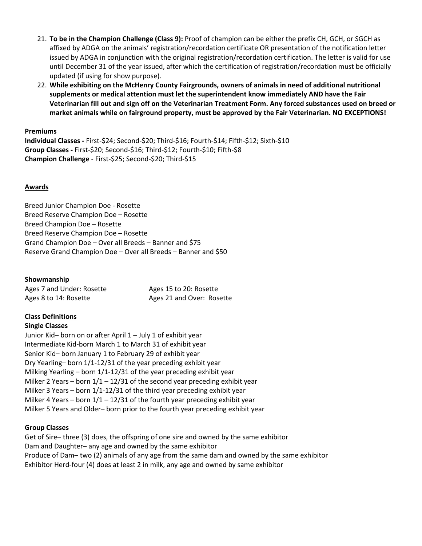- 21. **To be in the Champion Challenge (Class 9):** Proof of champion can be either the prefix CH, GCH, or SGCH as affixed by ADGA on the animals' registration/recordation certificate OR presentation of the notification letter issued by ADGA in conjunction with the original registration/recordation certification. The letter is valid for use until December 31 of the year issued, after which the certification of registration/recordation must be officially updated (if using for show purpose).
- 22. **While exhibiting on the McHenry County Fairgrounds, owners of animals in need of additional nutritional supplements or medical attention must let the superintendent know immediately AND have the Fair Veterinarian fill out and sign off on the Veterinarian Treatment Form. Any forced substances used on breed or market animals while on fairground property, must be approved by the Fair Veterinarian. NO EXCEPTIONS!**

#### **Premiums**

**Individual Classes -** First-\$24; Second-\$20; Third-\$16; Fourth-\$14; Fifth-\$12; Sixth-\$10 **Group Classes -** First-\$20; Second-\$16; Third-\$12; Fourth-\$10; Fifth-\$8 **Champion Challenge** - First-\$25; Second-\$20; Third-\$15

#### **Awards**

Breed Junior Champion Doe - Rosette Breed Reserve Champion Doe – Rosette Breed Champion Doe – Rosette Breed Reserve Champion Doe – Rosette Grand Champion Doe – Over all Breeds – Banner and \$75 Reserve Grand Champion Doe – Over all Breeds – Banner and \$50

#### **Showmanship**

| Ages 7 and Under: Rosette | Ages 15 to 20: Rosette    |
|---------------------------|---------------------------|
| Ages 8 to 14: Rosette     | Ages 21 and Over: Rosette |

### **Class Definitions**

#### **Single Classes**

Junior Kid– born on or after April 1 – July 1 of exhibit year Intermediate Kid-born March 1 to March 31 of exhibit year Senior Kid– born January 1 to February 29 of exhibit year Dry Yearling– born 1/1-12/31 of the year preceding exhibit year Milking Yearling – born 1/1-12/31 of the year preceding exhibit year Milker 2 Years – born  $1/1 - 12/31$  of the second year preceding exhibit year Milker 3 Years – born 1/1-12/31 of the third year preceding exhibit year Milker 4 Years – born  $1/1 - 12/31$  of the fourth year preceding exhibit year Milker 5 Years and Older– born prior to the fourth year preceding exhibit year

#### **Group Classes**

Get of Sire– three (3) does, the offspring of one sire and owned by the same exhibitor Dam and Daughter– any age and owned by the same exhibitor Produce of Dam– two (2) animals of any age from the same dam and owned by the same exhibitor Exhibitor Herd-four (4) does at least 2 in milk, any age and owned by same exhibitor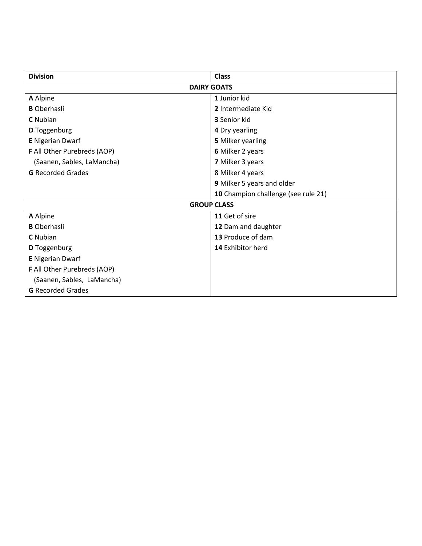| <b>Division</b>             | <b>Class</b>                        |  |  |  |  |
|-----------------------------|-------------------------------------|--|--|--|--|
| <b>DAIRY GOATS</b>          |                                     |  |  |  |  |
| A Alpine                    | 1 Junior kid                        |  |  |  |  |
| <b>B</b> Oberhasli          | 2 Intermediate Kid                  |  |  |  |  |
| <b>C</b> Nubian             | <b>3</b> Senior kid                 |  |  |  |  |
| <b>D</b> Toggenburg         | 4 Dry yearling                      |  |  |  |  |
| <b>E</b> Nigerian Dwarf     | <b>5 Milker yearling</b>            |  |  |  |  |
| F All Other Purebreds (AOP) | 6 Milker 2 years                    |  |  |  |  |
| (Saanen, Sables, LaMancha)  | 7 Milker 3 years                    |  |  |  |  |
| <b>G</b> Recorded Grades    | 8 Milker 4 years                    |  |  |  |  |
|                             | 9 Milker 5 years and older          |  |  |  |  |
|                             | 10 Champion challenge (see rule 21) |  |  |  |  |
| <b>GROUP CLASS</b>          |                                     |  |  |  |  |
| A Alpine                    | 11 Get of sire                      |  |  |  |  |
| <b>B</b> Oberhasli          | 12 Dam and daughter                 |  |  |  |  |
| <b>C</b> Nubian             | 13 Produce of dam                   |  |  |  |  |
| <b>D</b> Toggenburg         | 14 Exhibitor herd                   |  |  |  |  |
| <b>E</b> Nigerian Dwarf     |                                     |  |  |  |  |
| F All Other Purebreds (AOP) |                                     |  |  |  |  |
| (Saanen, Sables, LaMancha)  |                                     |  |  |  |  |
| <b>G</b> Recorded Grades    |                                     |  |  |  |  |